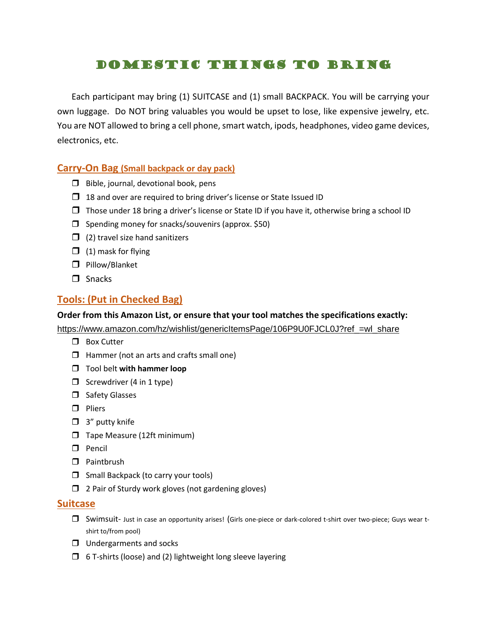# Domestic Things to Bring

Each participant may bring (1) SUITCASE and (1) small BACKPACK. You will be carrying your own luggage. Do NOT bring valuables you would be upset to lose, like expensive jewelry, etc. You are NOT allowed to bring a cell phone, smart watch, ipods, headphones, video game devices, electronics, etc.

### **Carry-On Bag (Small backpack or day pack)**

- $\Box$  Bible, journal, devotional book, pens
- $\Box$  18 and over are required to bring driver's license or State Issued ID
- $\Box$  Those under 18 bring a driver's license or State ID if you have it, otherwise bring a school ID
- $\Box$  Spending money for snacks/souvenirs (approx. \$50)
- $\Box$  (2) travel size hand sanitizers
- $\Box$  (1) mask for flying
- **D** Pillow/Blanket
- $\Box$  Snacks

## **Tools: (Put in Checked Bag)**

#### **Order from this Amazon List, or ensure that your tool matches the specifications exactly:**

[https://www.amazon.com/hz/wishlist/genericItemsPage/106P9U0FJCL0J?ref\\_=wl\\_share](https://www.amazon.com/hz/wishlist/genericItemsPage/106P9U0FJCL0J?ref_=wl_share)

- **D** Box Cutter
- $\Box$  Hammer (not an arts and crafts small one)
- Tool belt **with hammer loop**
- $\Box$  Screwdriver (4 in 1 type)
- □ Safety Glasses
- $\Box$  Pliers
- $\Box$  3" putty knife
- $\Box$  Tape Measure (12ft minimum)
- $\Box$  Pencil
- **D** Paintbrush
- $\Box$  Small Backpack (to carry your tools)
- $\Box$  2 Pair of Sturdy work gloves (not gardening gloves)

### **Suitcase**

- Swimsuit- Just in case an opportunity arises! (Girls one-piece or dark-colored t-shirt over two-piece; Guys wear tshirt to/from pool)
- $\Box$  Undergarments and socks
- $\Box$  6 T-shirts (loose) and (2) lightweight long sleeve layering